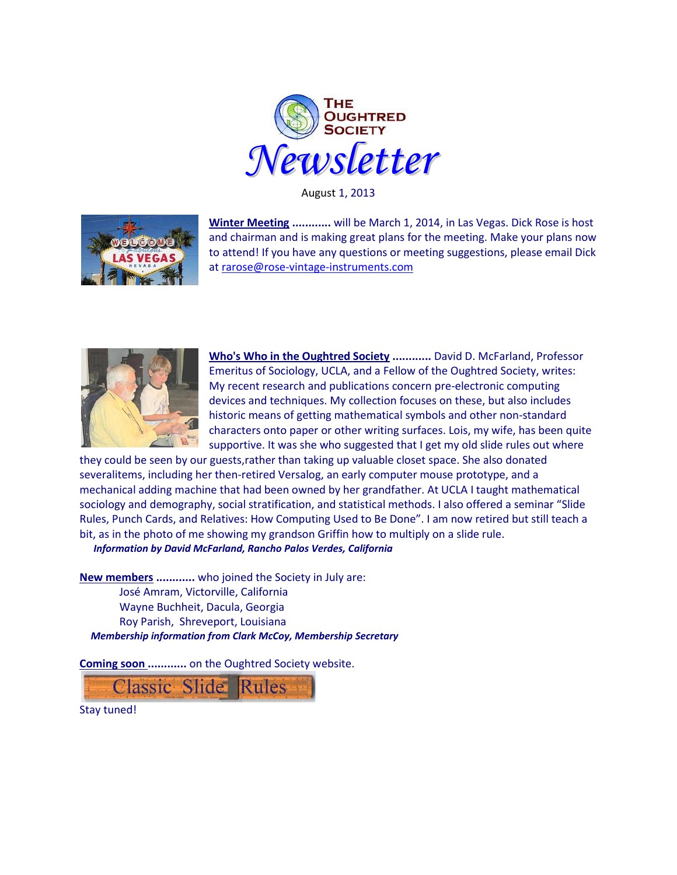

August 1, 2013



**Winter Meeting ............** will be March 1, 2014, in Las Vegas. Dick Rose is host and chairman and is making great plans for the meeting. Make your plans now to attend! If you have any questions or meeting suggestions, please email Dick at [rarose@rose-vintage-instruments.com](rarose@rose-vintage-instruments.com%20) 



**Who's Who in the Oughtred Society ............** David D. McFarland, Professor Emeritus of Sociology, UCLA, and a Fellow of the Oughtred Society, writes: My recent research and publications concern pre-electronic computing devices and techniques. My collection focuses on these, but also includes historic means of getting mathematical symbols and other non-standard characters onto paper or other writing surfaces. Lois, my wife, has been quite supportive. It was she who suggested that I get my old slide rules out where

they could be seen by our guests,rather than taking up valuable closet space. She also donated severalitems, including her then-retired Versalog, an early computer mouse prototype, and a mechanical adding machine that had been owned by her grandfather. At UCLA I taught mathematical sociology and demography, social stratification, and statistical methods. I also offered a seminar "Slide Rules, Punch Cards, and Relatives: How Computing Used to Be Done". I am now retired but still teach a bit, as in the photo of me showing my grandson Griffin how to multiply on a slide rule.

*Information by David McFarland, Rancho Palos Verdes, California*

**New members ............** who joined the Society in July are: José Amram, Victorville, California Wayne Buchheit, Dacula, Georgia Roy Parish, Shreveport, Louisiana *Membership information from Clark McCoy, Membership Secretary*

**Coming soon ............** on the Oughtred Society website.



Stay tuned!